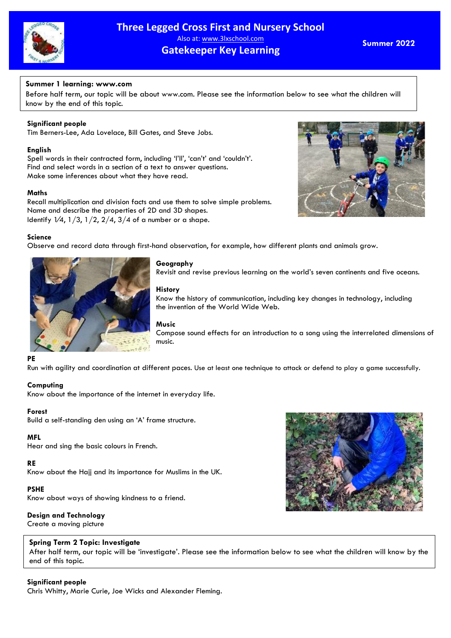

# **Three Legged Cross First and Nursery School** Also at: www.3lxschool.com **Gatekeeper Key Learning**

**Summer 2022**

# **Summer 1 learning: www.com**

Before half term, our topic will be about [www.com.](http://www.com/) Please see the information below to see what the children will know by the end of this topic.

# **Significant people**

Tim Berners-Lee, Ada Lovelace, Bill Gates, and Steve Jobs.

### **English**

Spell words in their contracted form, including 'I'll', 'can't' and 'couldn't'. Find and select words in a section of a text to answer questions. Make some inferences about what they have read.

### **Maths**

Recall multiplication and division facts and use them to solve simple problems. Name and describe the properties of 2D and 3D shapes. Identify  $1/4$ ,  $1/3$ ,  $1/2$ ,  $2/4$ ,  $3/4$  of a number or a shape.

### **Science**

Observe and record data through first-hand observation, for example, how different plants and animals grow.



### **Geography**

Revisit and revise previous learning on the world's seven continents and five oceans.

### **History**

Know the history of communication, including key changes in technology, including the invention of the World Wide Web.

#### **Music**

Compose sound effects for an introduction to a song using the interrelated dimensions of music.

#### **PE**

Run with agility and coordination at different paces. Use at least one technique to attack or defend to play a game successfully.

### **Computing**

Know about the importance of the internet in everyday life.

### **Forest**

Build a self-standing den using an 'A' frame structure.

### **MFL**

Hear and sing the basic colours in French.

### **RE**

Know about the Hajj and its importance for Muslims in the UK.

### **PSHE**

Know about ways of showing kindness to a friend.

### **Design and Technology**

Create a moving picture

### **Spring Term 2 Topic: Investigate**

After half term, our topic will be 'investigate'. Please see the information below to see what the children will know by the end of this topic.

### **Significant people**

Chris Whitty, Marie Curie, Joe Wicks and Alexander Fleming.